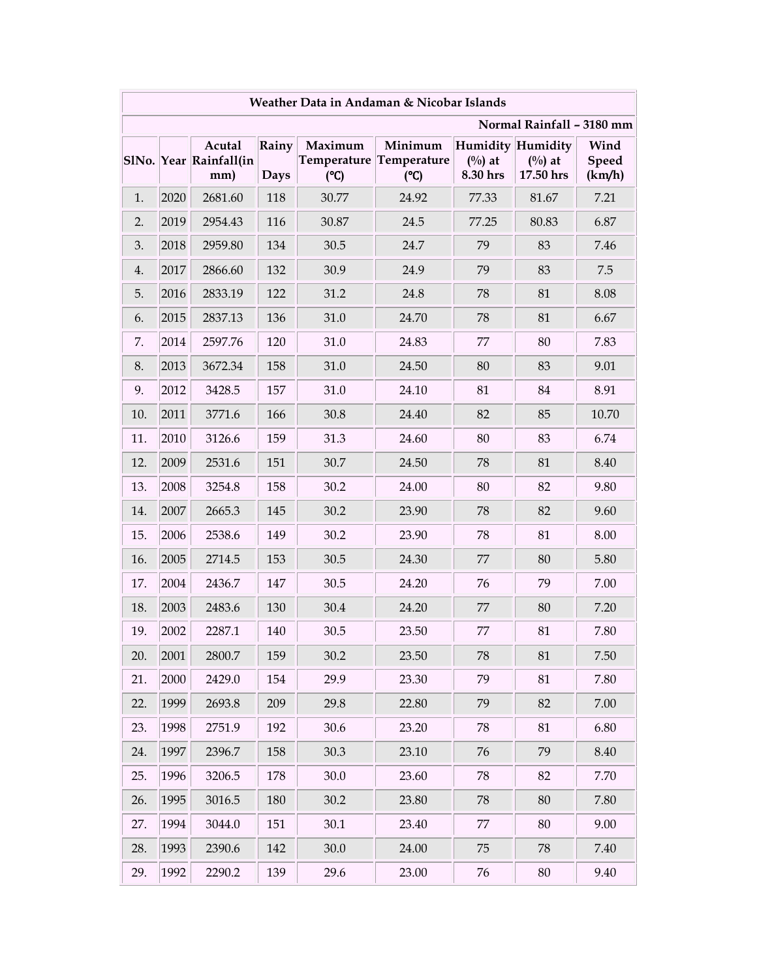| Weather Data in Andaman & Nicobar Islands |      |                                         |               |                |                                           |                                                   |                               |                         |  |
|-------------------------------------------|------|-----------------------------------------|---------------|----------------|-------------------------------------------|---------------------------------------------------|-------------------------------|-------------------------|--|
| Normal Rainfall - 3180 mm                 |      |                                         |               |                |                                           |                                                   |                               |                         |  |
|                                           |      | Acutal<br>SlNo. Year Rainfall(in<br>mm) | Rainy<br>Days | Maximum<br>(C) | Minimum<br>Temperature Temperature<br>(C) | Humidity Humidity<br>$(^{0}/_{0})$ at<br>8.30 hrs | $(^{0}/_{0})$ at<br>17.50 hrs | Wind<br>Speed<br>(km/h) |  |
| 1.                                        | 2020 | 2681.60                                 | 118           | 30.77          | 24.92                                     | 77.33                                             | 81.67                         | 7.21                    |  |
| 2.                                        | 2019 | 2954.43                                 | 116           | 30.87          | 24.5                                      | 77.25                                             | 80.83                         | 6.87                    |  |
| 3.                                        | 2018 | 2959.80                                 | 134           | 30.5           | 24.7                                      | 79                                                | 83                            | 7.46                    |  |
| 4.                                        | 2017 | 2866.60                                 | 132           | 30.9           | 24.9                                      | 79                                                | 83                            | 7.5                     |  |
| 5.                                        | 2016 | 2833.19                                 | 122           | 31.2           | 24.8                                      | 78                                                | 81                            | 8.08                    |  |
| 6.                                        | 2015 | 2837.13                                 | 136           | 31.0           | 24.70                                     | 78                                                | 81                            | 6.67                    |  |
| 7.                                        | 2014 | 2597.76                                 | 120           | 31.0           | 24.83                                     | 77                                                | 80                            | 7.83                    |  |
| 8.                                        | 2013 | 3672.34                                 | 158           | 31.0           | 24.50                                     | 80                                                | 83                            | 9.01                    |  |
| 9.                                        | 2012 | 3428.5                                  | 157           | 31.0           | 24.10                                     | 81                                                | 84                            | 8.91                    |  |
| 10.                                       | 2011 | 3771.6                                  | 166           | 30.8           | 24.40                                     | 82                                                | 85                            | 10.70                   |  |
| 11.                                       | 2010 | 3126.6                                  | 159           | 31.3           | 24.60                                     | 80                                                | 83                            | 6.74                    |  |
| 12.                                       | 2009 | 2531.6                                  | 151           | 30.7           | 24.50                                     | 78                                                | 81                            | 8.40                    |  |
| 13.                                       | 2008 | 3254.8                                  | 158           | 30.2           | 24.00                                     | 80                                                | 82                            | 9.80                    |  |
| 14.                                       | 2007 | 2665.3                                  | 145           | 30.2           | 23.90                                     | 78                                                | 82                            | 9.60                    |  |
| 15.                                       | 2006 | 2538.6                                  | 149           | 30.2           | 23.90                                     | 78                                                | 81                            | 8.00                    |  |
| 16.                                       | 2005 | 2714.5                                  | 153           | 30.5           | 24.30                                     | 77                                                | 80                            | 5.80                    |  |
| 17.                                       | 2004 | 2436.7                                  | 147           | 30.5           | 24.20                                     | 76                                                | 79                            | 7.00                    |  |
| 18.                                       | 2003 | 2483.6                                  | 130           | 30.4           | 24.20                                     | 77                                                | 80                            | 7.20                    |  |
| 19.                                       | 2002 | 2287.1                                  | 140           | 30.5           | 23.50                                     | 77                                                | 81                            | 7.80                    |  |
| 20.                                       | 2001 | 2800.7                                  | 159           | 30.2           | 23.50                                     | 78                                                | 81                            | 7.50                    |  |
| 21.                                       | 2000 | 2429.0                                  | 154           | 29.9           | 23.30                                     | 79                                                | 81                            | 7.80                    |  |
| 22.                                       | 1999 | 2693.8                                  | 209           | 29.8           | 22.80                                     | 79                                                | 82                            | 7.00                    |  |
| 23.                                       | 1998 | 2751.9                                  | 192           | 30.6           | 23.20                                     | 78                                                | 81                            | 6.80                    |  |
| 24.                                       | 1997 | 2396.7                                  | 158           | 30.3           | 23.10                                     | 76                                                | 79                            | 8.40                    |  |
| 25.                                       | 1996 | 3206.5                                  | 178           | $30.0\,$       | 23.60                                     | 78                                                | 82                            | 7.70                    |  |
| 26.                                       | 1995 | 3016.5                                  | 180           | 30.2           | 23.80                                     | 78                                                | 80                            | 7.80                    |  |
| 27.                                       | 1994 | 3044.0                                  | 151           | 30.1           | 23.40                                     | 77                                                | 80                            | 9.00                    |  |
| 28.                                       | 1993 | 2390.6                                  | 142           | $30.0\,$       | 24.00                                     | 75                                                | 78                            | 7.40                    |  |
| 29.                                       | 1992 | 2290.2                                  | 139           | 29.6           | 23.00                                     | 76                                                | 80                            | 9.40                    |  |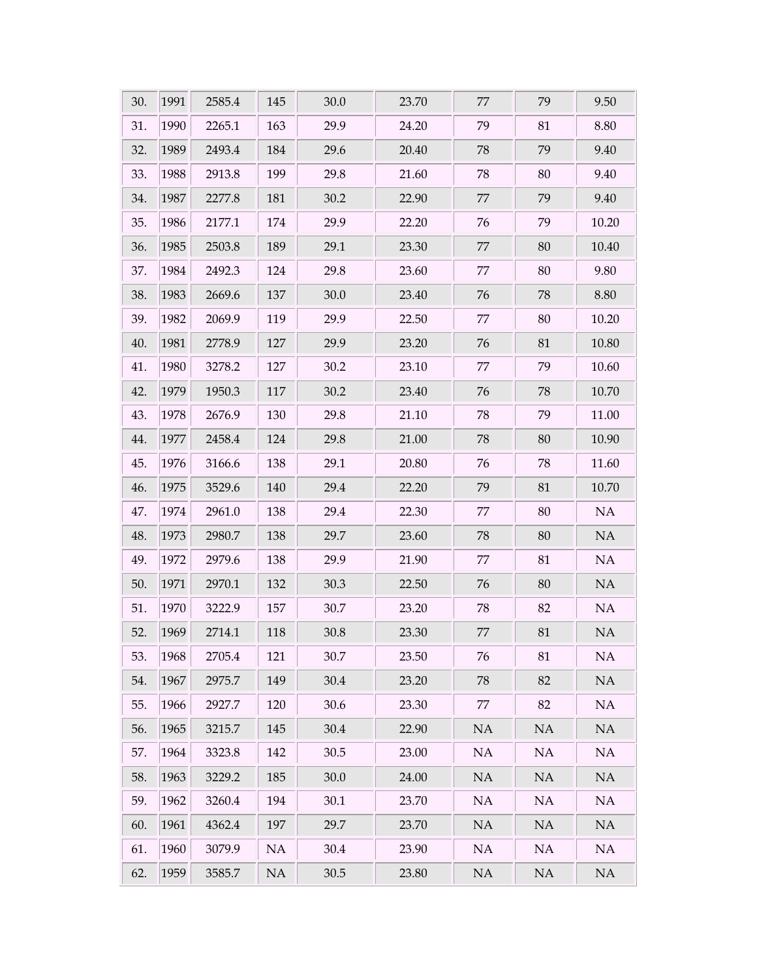| 30. | 1991 | 2585.4 | 145 | 30.0     | 23.70 | 77     | 79       | 9.50      |
|-----|------|--------|-----|----------|-------|--------|----------|-----------|
| 31. | 1990 | 2265.1 | 163 | 29.9     | 24.20 | 79     | 81       | 8.80      |
| 32. | 1989 | 2493.4 | 184 | 29.6     | 20.40 | 78     | 79       | 9.40      |
| 33. | 1988 | 2913.8 | 199 | 29.8     | 21.60 | 78     | 80       | 9.40      |
| 34. | 1987 | 2277.8 | 181 | 30.2     | 22.90 | $77\,$ | 79       | 9.40      |
| 35. | 1986 | 2177.1 | 174 | 29.9     | 22.20 | 76     | 79       | 10.20     |
| 36. | 1985 | 2503.8 | 189 | 29.1     | 23.30 | 77     | 80       | 10.40     |
| 37. | 1984 | 2492.3 | 124 | 29.8     | 23.60 | 77     | 80       | 9.80      |
| 38. | 1983 | 2669.6 | 137 | 30.0     | 23.40 | 76     | 78       | 8.80      |
| 39. | 1982 | 2069.9 | 119 | 29.9     | 22.50 | $77\,$ | 80       | 10.20     |
| 40. | 1981 | 2778.9 | 127 | 29.9     | 23.20 | 76     | 81       | 10.80     |
| 41. | 1980 | 3278.2 | 127 | 30.2     | 23.10 | 77     | 79       | 10.60     |
| 42. | 1979 | 1950.3 | 117 | 30.2     | 23.40 | 76     | 78       | 10.70     |
| 43. | 1978 | 2676.9 | 130 | 29.8     | 21.10 | 78     | 79       | 11.00     |
| 44. | 1977 | 2458.4 | 124 | 29.8     | 21.00 | 78     | 80       | 10.90     |
| 45. | 1976 | 3166.6 | 138 | 29.1     | 20.80 | 76     | 78       | 11.60     |
| 46. | 1975 | 3529.6 | 140 | 29.4     | 22.20 | 79     | 81       | $10.70\,$ |
| 47. | 1974 | 2961.0 | 138 | 29.4     | 22.30 | 77     | 80       | $\rm NA$  |
| 48. | 1973 | 2980.7 | 138 | 29.7     | 23.60 | 78     | 80       | $\rm NA$  |
| 49. | 1972 | 2979.6 | 138 | 29.9     | 21.90 | 77     | 81       | $\rm NA$  |
| 50. | 1971 | 2970.1 | 132 | 30.3     | 22.50 | 76     | 80       | NA        |
| 51. | 1970 | 3222.9 | 157 | 30.7     | 23.20 | 78     | 82       | $\rm NA$  |
| 52. | 1969 | 2714.1 | 118 | 30.8     | 23.30 | $77\,$ | 81       | $\rm NA$  |
| 53. | 1968 | 2705.4 | 121 | 30.7     | 23.50 | 76     | 81       | NA        |
| 54. | 1967 | 2975.7 | 149 | 30.4     | 23.20 | 78     | 82       | NA        |
| 55. | 1966 | 2927.7 | 120 | 30.6     | 23.30 | 77     | 82       | NA        |
| 56. | 1965 | 3215.7 | 145 | 30.4     | 22.90 | NA     | NA       | NA        |
| 57. | 1964 | 3323.8 | 142 | 30.5     | 23.00 | NA     | NA       | NA        |
| 58. | 1963 | 3229.2 | 185 | 30.0     | 24.00 | NA     | NA       | NA        |
| 59. | 1962 | 3260.4 | 194 | 30.1     | 23.70 | NA     | NA       | NA        |
| 60. | 1961 | 4362.4 | 197 | 29.7     | 23.70 | NA     | NA       | NA        |
| 61. | 1960 | 3079.9 | NA  | 30.4     | 23.90 | NA     | NA       | NA        |
| 62. | 1959 | 3585.7 | NA  | $30.5\,$ | 23.80 | NA     | $\rm NA$ | NA        |